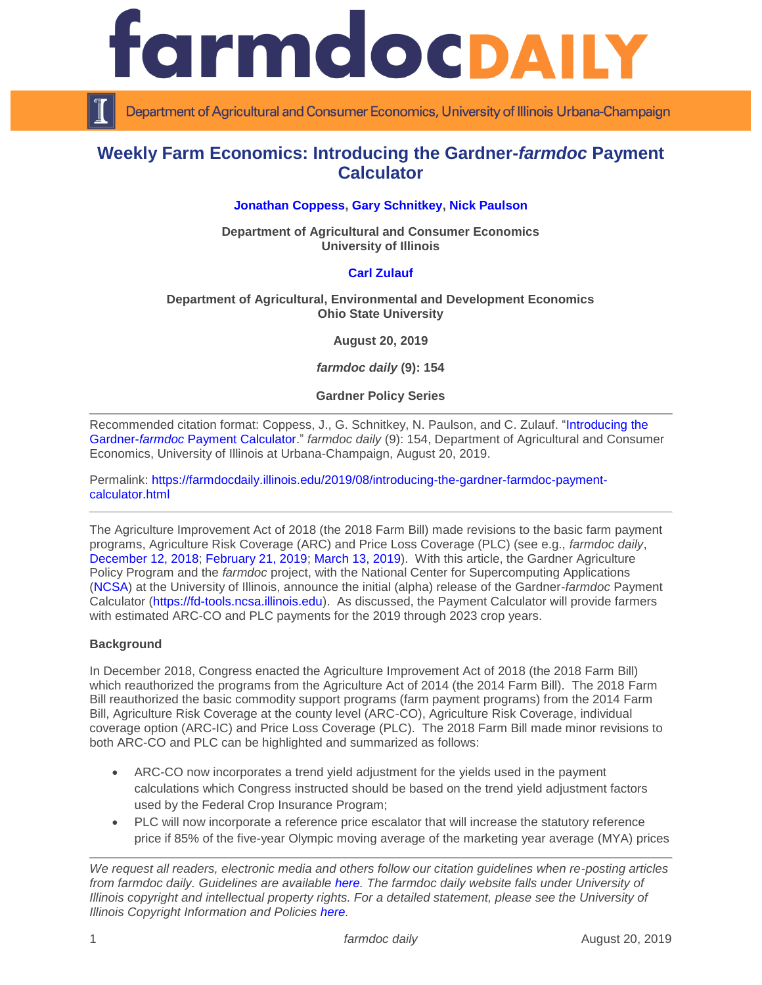

Department of Agricultural and Consumer Economics, University of Illinois Urbana-Champaign

# **Weekly Farm Economics: Introducing the Gardner-***farmdoc* **Payment Calculator**

# **[Jonathan Coppess,](https://ace.illinois.edu/directory/jwcoppes) [Gary Schnitkey,](https://ace.illinois.edu/directory/schnitke) [Nick Paulson](https://ace.illinois.edu/directory/npaulson)**

**Department of Agricultural and Consumer Economics University of Illinois**

# **[Carl Zulauf](http://aede.osu.edu/our-people/carl-zulauf)**

### **Department of Agricultural, Environmental and Development Economics Ohio State University**

**August 20, 2019**

*farmdoc daily* **(9): 154**

**Gardner Policy Series**

Recommended citation format: Coppess, J., G. Schnitkey, N. Paulson, and C. Zulauf. ["Introducing the](https://farmdocdaily.illinois.edu/2019/08/introducing-the-gardner-farmdoc-payment-calculator.html)  Gardner-*farmdoc* [Payment Calculator.](https://farmdocdaily.illinois.edu/2019/08/introducing-the-gardner-farmdoc-payment-calculator.html)" *farmdoc daily* (9): 154, Department of Agricultural and Consumer Economics, University of Illinois at Urbana-Champaign, August 20, 2019.

Permalink: [https://farmdocdaily.illinois.edu/2019/08/introducing-the-gardner-farmdoc-payment](https://farmdocdaily.illinois.edu/2019/08/introducing-the-gardner-farmdoc-payment-calculator.html)[calculator.html](https://farmdocdaily.illinois.edu/2019/08/introducing-the-gardner-farmdoc-payment-calculator.html)

The Agriculture Improvement Act of 2018 (the 2018 Farm Bill) made revisions to the basic farm payment programs, Agriculture Risk Coverage (ARC) and Price Loss Coverage (PLC) (see e.g., *farmdoc daily*, [December 12, 2018;](https://farmdocdaily.illinois.edu/2018/12/the-agriculture-improvement-act-of-2018-initial-review.html) [February 21, 2019;](https://farmdocdaily.illinois.edu/2019/02/2018-farm-bill-reference-price-escalator-for-2019-market-year.html) [March 13, 2019\)](https://farmdocdaily.illinois.edu/2019/03/high-price-scenarios-for-the-plc-escalator-and-farm-program-decision.html). With this article, the Gardner Agriculture Policy Program and the *farmdoc* project, with the National Center for Supercomputing Applications [\(NCSA\)](http://www.ncsa.illinois.edu/) at the University of Illinois, announce the initial (alpha) release of the Gardner-*farmdoc* Payment Calculator [\(https://fd-tools.ncsa.illinois.edu\)](https://fd-tools.ncsa.illinois.edu/). As discussed, the Payment Calculator will provide farmers with estimated ARC-CO and PLC payments for the 2019 through 2023 crop years.

### **Background**

In December 2018, Congress enacted the Agriculture Improvement Act of 2018 (the 2018 Farm Bill) which reauthorized the programs from the Agriculture Act of 2014 (the 2014 Farm Bill). The 2018 Farm Bill reauthorized the basic commodity support programs (farm payment programs) from the 2014 Farm Bill, Agriculture Risk Coverage at the county level (ARC-CO), Agriculture Risk Coverage, individual coverage option (ARC-IC) and Price Loss Coverage (PLC). The 2018 Farm Bill made minor revisions to both ARC-CO and PLC can be highlighted and summarized as follows:

- ARC-CO now incorporates a trend yield adjustment for the yields used in the payment calculations which Congress instructed should be based on the trend yield adjustment factors used by the Federal Crop Insurance Program;
- PLC will now incorporate a reference price escalator that will increase the statutory reference price if 85% of the five-year Olympic moving average of the marketing year average (MYA) prices

*We request all readers, electronic media and others follow our citation guidelines when re-posting articles from farmdoc daily. Guidelines are available [here.](http://farmdocdaily.illinois.edu/citationguide.html) The farmdoc daily website falls under University of Illinois copyright and intellectual property rights. For a detailed statement, please see the University of Illinois Copyright Information and Policies [here.](http://www.cio.illinois.edu/policies/copyright/)*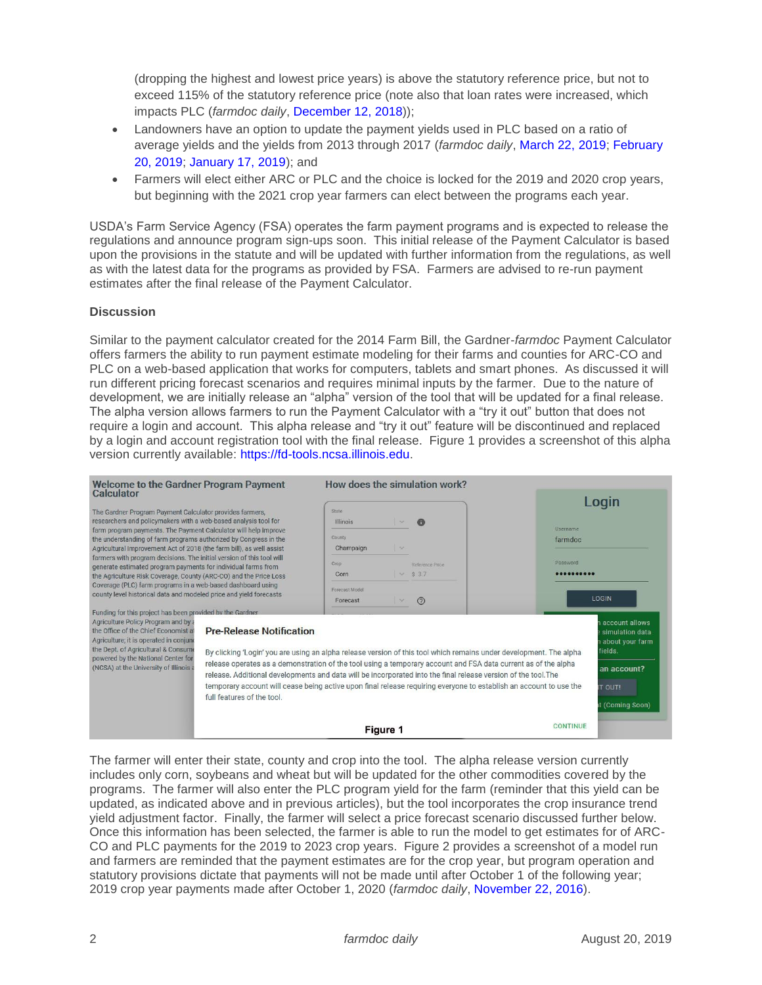(dropping the highest and lowest price years) is above the statutory reference price, but not to exceed 115% of the statutory reference price (note also that loan rates were increased, which impacts PLC (*farmdoc daily*, [December 12, 2018\)](https://farmdocdaily.illinois.edu/2018/12/the-agriculture-improvement-act-of-2018-initial-review.html));

- Landowners have an option to update the payment yields used in PLC based on a ratio of average yields and the yields from 2013 through 2017 (*farmdoc daily*, [March 22, 2019;](https://farmdocdaily.illinois.edu/2019/03/understanding-the-2018-farm-bill-plc-yield-update-corn-soybean-sorghum-and-upland-cotton-by-state.html) [February](https://farmdocdaily.illinois.edu/2019/02/understanding-the-2018-farm-bill-plc-yield-update.html)  [20, 2019;](https://farmdocdaily.illinois.edu/2019/02/understanding-the-2018-farm-bill-plc-yield-update.html) [January 17, 2019\)](https://farmdocdaily.illinois.edu/2019/01/plc-base-yield-updates-the-importance-of-crop-rotation.html); and
- Farmers will elect either ARC or PLC and the choice is locked for the 2019 and 2020 crop years, but beginning with the 2021 crop year farmers can elect between the programs each year.

USDA's Farm Service Agency (FSA) operates the farm payment programs and is expected to release the regulations and announce program sign-ups soon. This initial release of the Payment Calculator is based upon the provisions in the statute and will be updated with further information from the regulations, as well as with the latest data for the programs as provided by FSA. Farmers are advised to re-run payment estimates after the final release of the Payment Calculator.

# **Discussion**

Similar to the payment calculator created for the 2014 Farm Bill, the Gardner-*farmdoc* Payment Calculator offers farmers the ability to run payment estimate modeling for their farms and counties for ARC-CO and PLC on a web-based application that works for computers, tablets and smart phones. As discussed it will run different pricing forecast scenarios and requires minimal inputs by the farmer. Due to the nature of development, we are initially release an "alpha" version of the tool that will be updated for a final release. The alpha version allows farmers to run the Payment Calculator with a "try it out" button that does not require a login and account. This alpha release and "try it out" feature will be discontinued and replaced by a login and account registration tool with the final release. Figure 1 provides a screenshot of this alpha version currently available: [https://fd-tools.ncsa.illinois.edu.](https://fd-tools.ncsa.illinois.edu/)

| <b>Welcome to the Gardner Program Payment</b><br>Calculator                                                                                                                                                                                                                                                                                                                                                                                                                                                                                                                                                              |                                                                                                                                                                                                                                                                                                                                                                                                                                                                                                                                               |                               | How does the simulation work?                                                                             |                 |                  |  |
|--------------------------------------------------------------------------------------------------------------------------------------------------------------------------------------------------------------------------------------------------------------------------------------------------------------------------------------------------------------------------------------------------------------------------------------------------------------------------------------------------------------------------------------------------------------------------------------------------------------------------|-----------------------------------------------------------------------------------------------------------------------------------------------------------------------------------------------------------------------------------------------------------------------------------------------------------------------------------------------------------------------------------------------------------------------------------------------------------------------------------------------------------------------------------------------|-------------------------------|-----------------------------------------------------------------------------------------------------------|-----------------|------------------|--|
| The Gardner Program Payment Calculator provides farmers,<br>researchers and policymakers with a web-based analysis tool for<br>farm program payments. The Payment Calculator will help improve<br>the understanding of farm programs authorized by Congress in the<br>Agricultural Improvement Act of 2018 (the farm bill), as well assist<br>farmers with program decisions. The initial version of this tool will<br>generate estimated program payments for individual farms from<br>the Agriculture Risk Coverage, County (ARC-CO) and the Price Loss<br>Coverage (PLC) farm programs in a web-based dashboard using |                                                                                                                                                                                                                                                                                                                                                                                                                                                                                                                                               | State<br>Illinois             | $\bigcirc$<br>$\sim$                                                                                      | Username        | Login<br>farmdoc |  |
|                                                                                                                                                                                                                                                                                                                                                                                                                                                                                                                                                                                                                          |                                                                                                                                                                                                                                                                                                                                                                                                                                                                                                                                               | County<br>Champaign<br>$\sim$ |                                                                                                           | Password        |                  |  |
|                                                                                                                                                                                                                                                                                                                                                                                                                                                                                                                                                                                                                          |                                                                                                                                                                                                                                                                                                                                                                                                                                                                                                                                               | Crop<br>Corn                  | Reference Price<br>\$3.7<br>$\sim$                                                                        |                 |                  |  |
| county level historical data and modeled price and yield forecasts<br>Funding for this project has been provided by the Gardner.                                                                                                                                                                                                                                                                                                                                                                                                                                                                                         |                                                                                                                                                                                                                                                                                                                                                                                                                                                                                                                                               | Forecast Model<br>Forecast    | $\odot$<br>$\mathcal{S}^{\mathcal{S}}$                                                                    |                 | LOGIN            |  |
| Agriculture Policy Program and by<br>the Office of the Chief Economist a<br>Agriculture; it is operated in conjung<br>the Dept. of Agricultural & Consume<br>powered by the National Center for<br>(NCSA) at the University of Illinois                                                                                                                                                                                                                                                                                                                                                                                  | <b>Pre-Release Notification</b><br>By clicking 'Login' you are using an alpha release version of this tool which remains under development. The alpha<br>release operates as a demonstration of the tool using a temporary account and FSA data current as of the alpha<br>release. Additional developments and data will be incorporated into the final release version of the tool. The<br>temporary account will cease being active upon final release requiring everyone to establish an account to use the<br>full features of the tool. |                               | account allows<br>simulation data<br>about your farm<br>fields.<br>an account?<br>T OUT!<br>(Coming Soon) |                 |                  |  |
|                                                                                                                                                                                                                                                                                                                                                                                                                                                                                                                                                                                                                          |                                                                                                                                                                                                                                                                                                                                                                                                                                                                                                                                               | <b>Figure 1</b>               |                                                                                                           | <b>CONTINUE</b> |                  |  |

The farmer will enter their state, county and crop into the tool. The alpha release version currently includes only corn, soybeans and wheat but will be updated for the other commodities covered by the programs. The farmer will also enter the PLC program yield for the farm (reminder that this yield can be updated, as indicated above and in previous articles), but the tool incorporates the crop insurance trend yield adjustment factor. Finally, the farmer will select a price forecast scenario discussed further below. Once this information has been selected, the farmer is able to run the model to get estimates for of ARC-CO and PLC payments for the 2019 to 2023 crop years. Figure 2 provides a screenshot of a model run and farmers are reminded that the payment estimates are for the crop year, but program operation and statutory provisions dictate that payments will not be made until after October 1 of the following year; 2019 crop year payments made after October 1, 2020 (*farmdoc daily*, [November 22, 2016\)](https://farmdocdaily.illinois.edu/2016/11/arc-co-payment-timing-and-cash-rent-bidding.html).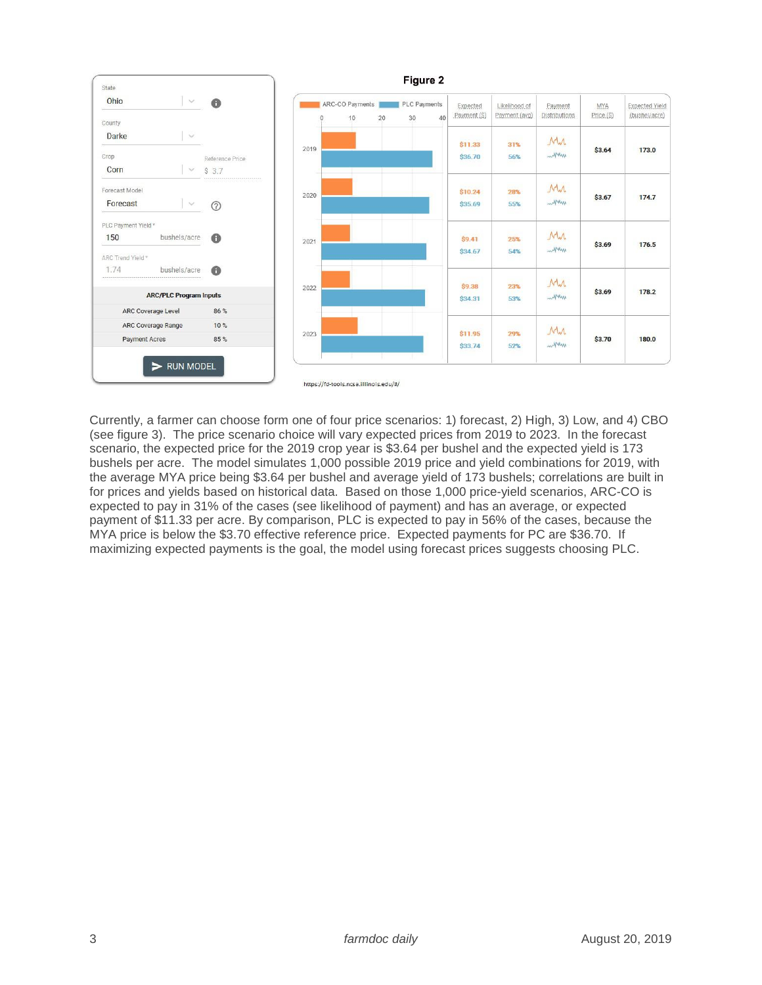

Currently, a farmer can choose form one of four price scenarios: 1) forecast, 2) High, 3) Low, and 4) CBO (see figure 3). The price scenario choice will vary expected prices from 2019 to 2023. In the forecast scenario, the expected price for the 2019 crop year is \$3.64 per bushel and the expected yield is 173 bushels per acre. The model simulates 1,000 possible 2019 price and yield combinations for 2019, with the average MYA price being \$3.64 per bushel and average yield of 173 bushels; correlations are built in for prices and yields based on historical data. Based on those 1,000 price-yield scenarios, ARC-CO is expected to pay in 31% of the cases (see likelihood of payment) and has an average, or expected payment of \$11.33 per acre. By comparison, PLC is expected to pay in 56% of the cases, because the MYA price is below the \$3.70 effective reference price. Expected payments for PC are \$36.70. If maximizing expected payments is the goal, the model using forecast prices suggests choosing PLC.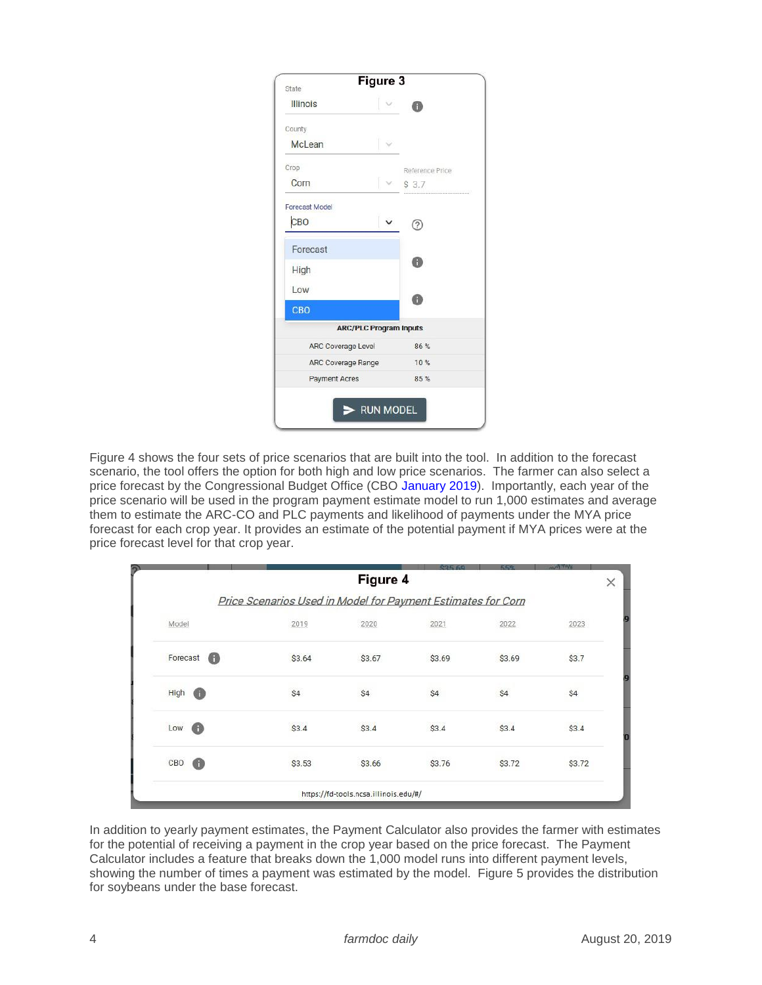| Figure 3<br>State             |                 |
|-------------------------------|-----------------|
| <b>Illinois</b>               | ß               |
| County                        |                 |
| McLean                        |                 |
| Crop                          | Reference Price |
| Corn                          | $\vee$ \$ 3.7   |
| <b>Forecast Model</b>         |                 |
| CBO                           | 3               |
| Forecast<br>High              | Ò               |
| Low                           | П               |
| <b>CBO</b>                    |                 |
| <b>ARC/PLC Program Inputs</b> |                 |
| <b>ARC Coverage Level</b>     | 86%             |
| ARC Coverage Range            | 10%             |
| <b>Payment Acres</b>          | 85%             |

Figure 4 shows the four sets of price scenarios that are built into the tool. In addition to the forecast scenario, the tool offers the option for both high and low price scenarios. The farmer can also select a price forecast by the Congressional Budget Office (CBO [January 2019\)](https://www.cbo.gov/system/files?file=2019-01/51317-2019-01-usda.pdf). Importantly, each year of the price scenario will be used in the program payment estimate model to run 1,000 estimates and average them to estimate the ARC-CO and PLC payments and likelihood of payments under the MYA price forecast for each crop year. It provides an estimate of the potential payment if MYA prices were at the price forecast level for that crop year.

|               |                                                              | Figure 4                              |        |        |        |
|---------------|--------------------------------------------------------------|---------------------------------------|--------|--------|--------|
|               | Price Scenarios Used in Model for Payment Estimates for Corn |                                       |        |        |        |
| Model         | 2019                                                         | 2020                                  | 2021   | 2022   | 2023   |
| Forecast<br>Œ | \$3.64                                                       | \$3.67                                | \$3.69 | \$3.69 | \$3.7  |
| High<br>Œ     | \$4                                                          | \$4                                   | \$4    | \$4    | \$4    |
| Low<br>Œ      | \$3.4                                                        | \$3.4                                 | \$3.4  | \$3.4  | \$3.4  |
| CBO<br>O      | \$3.53                                                       | \$3.66                                | \$3.76 | \$3.72 | \$3.72 |
|               |                                                              | https://fd-tools.ncsa.illinois.edu/#/ |        |        |        |

In addition to yearly payment estimates, the Payment Calculator also provides the farmer with estimates for the potential of receiving a payment in the crop year based on the price forecast. The Payment Calculator includes a feature that breaks down the 1,000 model runs into different payment levels, showing the number of times a payment was estimated by the model. Figure 5 provides the distribution for soybeans under the base forecast.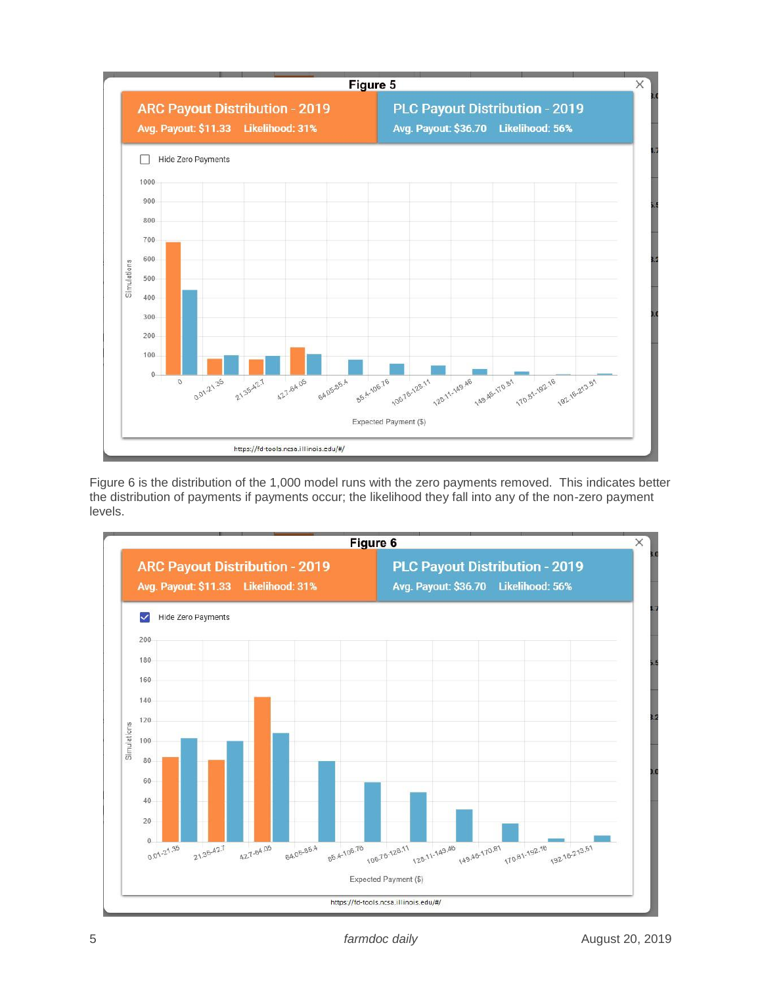

Figure 6 is the distribution of the 1,000 model runs with the zero payments removed. This indicates better the distribution of payments if payments occur; the likelihood they fall into any of the non-zero payment levels.